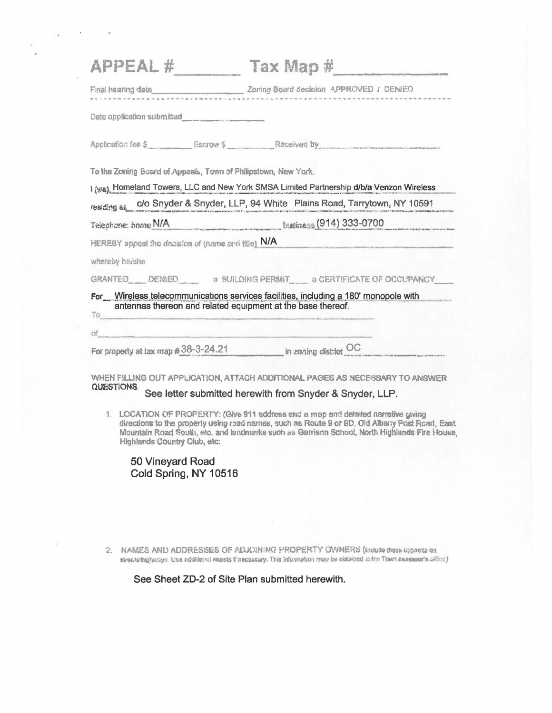|                                                                   | $APPEAL #$ Tax Map #                                                                                                                                                                                                                                                              |
|-------------------------------------------------------------------|-----------------------------------------------------------------------------------------------------------------------------------------------------------------------------------------------------------------------------------------------------------------------------------|
|                                                                   |                                                                                                                                                                                                                                                                                   |
| Date application submitted                                        |                                                                                                                                                                                                                                                                                   |
|                                                                   | Application for \$ Escrow \$ Received by                                                                                                                                                                                                                                          |
| To the Zoning Board of Appeals, Town of Philipstown, New York.    |                                                                                                                                                                                                                                                                                   |
|                                                                   | 1 (346), Homeland Towers, LLC and New York SMSA Limited Partnership d/b/a Verizon Wireless                                                                                                                                                                                        |
|                                                                   | residing at c/o Snyder & Snyder, LLP, 94 White Plains Road, Tarrytown, NY 10591                                                                                                                                                                                                   |
|                                                                   | Telephone: home N/A kusiness (914) 333-0700                                                                                                                                                                                                                                       |
| HEREBY appeal the decision of (name and title) N/A                | <u> De Barbara de Maria de la Carlo de la p</u>                                                                                                                                                                                                                                   |
| whereby haishe                                                    |                                                                                                                                                                                                                                                                                   |
|                                                                   | GRANTED DENIED a BUILDING PERMIT A CERTIFICATE OF OCCUPANCY                                                                                                                                                                                                                       |
|                                                                   | For Wireless telecommunications services facilities, including a 180' monopole with                                                                                                                                                                                               |
| antennas thereon and related equipment at the base thereof.<br>To |                                                                                                                                                                                                                                                                                   |
| $\alpha f$                                                        |                                                                                                                                                                                                                                                                                   |
|                                                                   | For property at tax map #38-3-24.21 in zoning district OC                                                                                                                                                                                                                         |
|                                                                   | WHEN FILLING OUT APPLICATION, ATTACH ADDITIONAL PAGES AS NECESSARY TO ANSWER                                                                                                                                                                                                      |
| <b>QUESTIONS.</b>                                                 | See letter submitted herewith from Snyder & Snyder, LLP.                                                                                                                                                                                                                          |
| 1.<br>Highlands Country Club, etc:                                | LOCATION OF PROPERTY: (Give 911 address and a map and detailed narrative giving<br>directions to the property using road names, such as Route 9 or 9D, Old Albany Post Road, East<br>Mountain Road South, stc. and landmarks such as Garrison School, North Highlands Fire House, |
| 50 Vineyard Road<br>Cold Spring, NY 10516                         |                                                                                                                                                                                                                                                                                   |

2. NAMES AND ADDRESSES OF ADJOINING PROPERTY OWNERS (include those upposts on alreading hungs. Use additional energy integration, This Information may be obtained at the Town assessor's  $\alpha\beta\alpha\gamma$ 

See Sheet ZD-2 of Site Plan submitted herewith.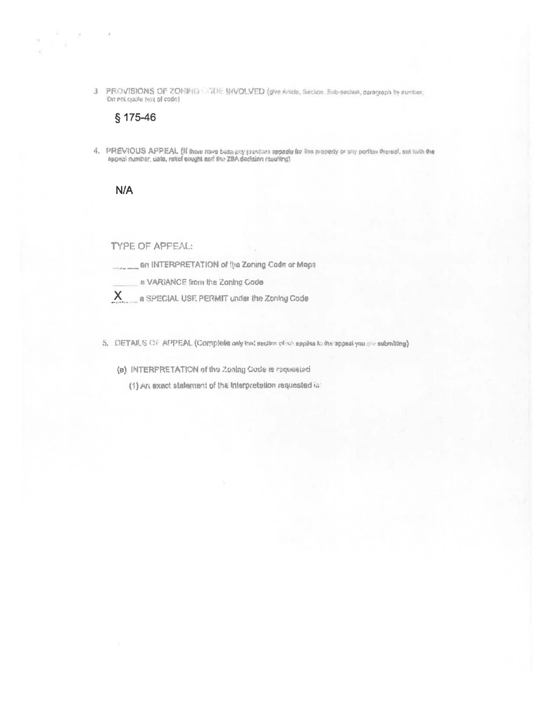3 PROVISIONS OF ZOHING UDDE BIVOLVED (give Article, Section Sub-section, paragraph by purcher, the not quote fest of code)

## § 175-46

 $\alpha$ 

ŵ

4. PREVIOUS APPEAL (if there nowe bean any previous appeals for this property or any portion thereof, set toth the appeal number, uste, reticle sought and the ZBA decision resulting)

## $N/A$

TYPE OF APPEAL:

an INTERPRETATION of the Zoning Code or Maps

a VARIANCE from the Zoning Code

- $X_{1}$ a SPECIAL USE PERMIT under the Zoning Code
- 5. DETAILS OF APPEAL (Complete only that section which applies to the appeal you are submitting).

(a) INTERPRETATION of the Zoalng Gode is requested

(1) An exact statement of the Interpretation requested is: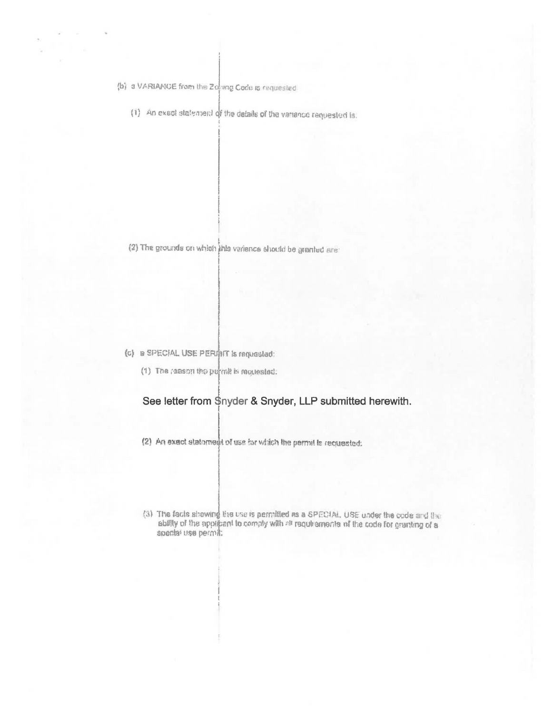(b) a VARIANCE from the Zoomg Code is requested.

(1) An exact statement of the details of the variance requested is.

(2) The grounds on which this variance should be granted are:

## (c) a SPECIAL USE PERMIT is requested:

(1) The reason the permit is requested:

## See letter from \$nyder & Snyder, LLP submitted herewith.

- (2) An exact statoment of use for which the permit is requested:
- (3) The facts showing the use is permitted as a SPECIAL. USE under the code and the ability of the applicant to comply with all requirements of the code for granting of a special use permit: